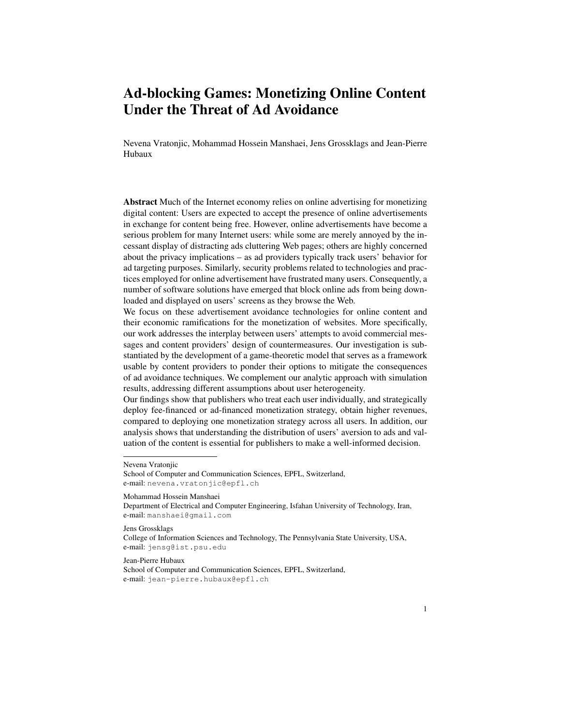# Ad-blocking Games: Monetizing Online Content Under the Threat of Ad Avoidance

Nevena Vratonjic, Mohammad Hossein Manshaei, Jens Grossklags and Jean-Pierre Hubaux

Abstract Much of the Internet economy relies on online advertising for monetizing digital content: Users are expected to accept the presence of online advertisements in exchange for content being free. However, online advertisements have become a serious problem for many Internet users: while some are merely annoyed by the incessant display of distracting ads cluttering Web pages; others are highly concerned about the privacy implications – as ad providers typically track users' behavior for ad targeting purposes. Similarly, security problems related to technologies and practices employed for online advertisement have frustrated many users. Consequently, a number of software solutions have emerged that block online ads from being downloaded and displayed on users' screens as they browse the Web.

We focus on these advertisement avoidance technologies for online content and their economic ramifications for the monetization of websites. More specifically, our work addresses the interplay between users' attempts to avoid commercial messages and content providers' design of countermeasures. Our investigation is substantiated by the development of a game-theoretic model that serves as a framework usable by content providers to ponder their options to mitigate the consequences of ad avoidance techniques. We complement our analytic approach with simulation results, addressing different assumptions about user heterogeneity.

Our findings show that publishers who treat each user individually, and strategically deploy fee-financed or ad-financed monetization strategy, obtain higher revenues, compared to deploying one monetization strategy across all users. In addition, our analysis shows that understanding the distribution of users' aversion to ads and valuation of the content is essential for publishers to make a well-informed decision.

#### Mohammad Hossein Manshaei

Department of Electrical and Computer Engineering, Isfahan University of Technology, Iran, e-mail: manshaei@gmail.com

Jens Grossklags

College of Information Sciences and Technology, The Pennsylvania State University, USA, e-mail: jensg@ist.psu.edu

#### Jean-Pierre Hubaux

School of Computer and Communication Sciences, EPFL, Switzerland, e-mail: jean-pierre.hubaux@epfl.ch

Nevena Vratonjic

School of Computer and Communication Sciences, EPFL, Switzerland, e-mail: nevena.vratonjic@epfl.ch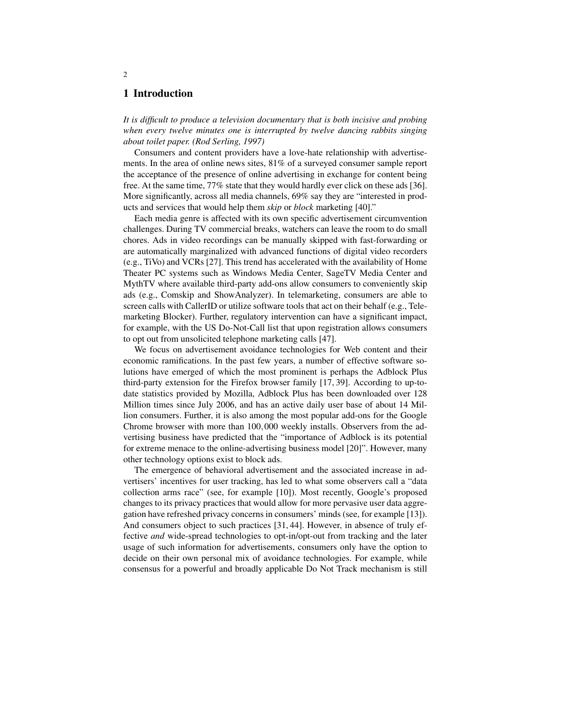## 1 Introduction

*It is difficult to produce a television documentary that is both incisive and probing when every twelve minutes one is interrupted by twelve dancing rabbits singing about toilet paper. (Rod Serling, 1997)*

Consumers and content providers have a love-hate relationship with advertisements. In the area of online news sites, 81% of a surveyed consumer sample report the acceptance of the presence of online advertising in exchange for content being free. At the same time, 77% state that they would hardly ever click on these ads [36]. More significantly, across all media channels, 69% say they are "interested in products and services that would help them *skip* or *block* marketing [40]."

Each media genre is affected with its own specific advertisement circumvention challenges. During TV commercial breaks, watchers can leave the room to do small chores. Ads in video recordings can be manually skipped with fast-forwarding or are automatically marginalized with advanced functions of digital video recorders (e.g., TiVo) and VCRs [27]. This trend has accelerated with the availability of Home Theater PC systems such as Windows Media Center, SageTV Media Center and MythTV where available third-party add-ons allow consumers to conveniently skip ads (e.g., Comskip and ShowAnalyzer). In telemarketing, consumers are able to screen calls with CallerID or utilize software tools that act on their behalf (e.g., Telemarketing Blocker). Further, regulatory intervention can have a significant impact, for example, with the US Do-Not-Call list that upon registration allows consumers to opt out from unsolicited telephone marketing calls [47].

We focus on advertisement avoidance technologies for Web content and their economic ramifications. In the past few years, a number of effective software solutions have emerged of which the most prominent is perhaps the Adblock Plus third-party extension for the Firefox browser family [17, 39]. According to up-todate statistics provided by Mozilla, Adblock Plus has been downloaded over 128 Million times since July 2006, and has an active daily user base of about 14 Million consumers. Further, it is also among the most popular add-ons for the Google Chrome browser with more than 100,000 weekly installs. Observers from the advertising business have predicted that the "importance of Adblock is its potential for extreme menace to the online-advertising business model [20]". However, many other technology options exist to block ads.

The emergence of behavioral advertisement and the associated increase in advertisers' incentives for user tracking, has led to what some observers call a "data collection arms race" (see, for example [10]). Most recently, Google's proposed changes to its privacy practices that would allow for more pervasive user data aggregation have refreshed privacy concerns in consumers' minds (see, for example [13]). And consumers object to such practices [31, 44]. However, in absence of truly effective *and* wide-spread technologies to opt-in/opt-out from tracking and the later usage of such information for advertisements, consumers only have the option to decide on their own personal mix of avoidance technologies. For example, while consensus for a powerful and broadly applicable Do Not Track mechanism is still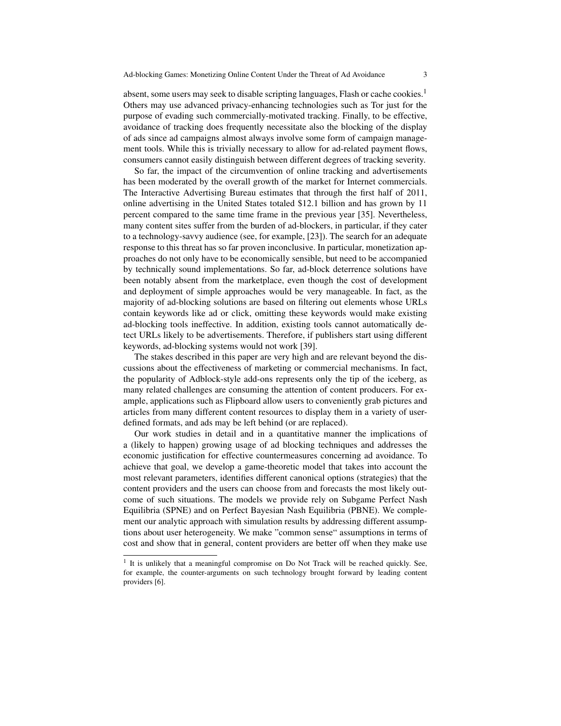absent, some users may seek to disable scripting languages, Flash or cache cookies.<sup>1</sup> Others may use advanced privacy-enhancing technologies such as Tor just for the purpose of evading such commercially-motivated tracking. Finally, to be effective, avoidance of tracking does frequently necessitate also the blocking of the display of ads since ad campaigns almost always involve some form of campaign management tools. While this is trivially necessary to allow for ad-related payment flows, consumers cannot easily distinguish between different degrees of tracking severity.

So far, the impact of the circumvention of online tracking and advertisements has been moderated by the overall growth of the market for Internet commercials. The Interactive Advertising Bureau estimates that through the first half of 2011, online advertising in the United States totaled \$12.1 billion and has grown by 11 percent compared to the same time frame in the previous year [35]. Nevertheless, many content sites suffer from the burden of ad-blockers, in particular, if they cater to a technology-savvy audience (see, for example, [23]). The search for an adequate response to this threat has so far proven inconclusive. In particular, monetization approaches do not only have to be economically sensible, but need to be accompanied by technically sound implementations. So far, ad-block deterrence solutions have been notably absent from the marketplace, even though the cost of development and deployment of simple approaches would be very manageable. In fact, as the majority of ad-blocking solutions are based on filtering out elements whose URLs contain keywords like ad or click, omitting these keywords would make existing ad-blocking tools ineffective. In addition, existing tools cannot automatically detect URLs likely to be advertisements. Therefore, if publishers start using different keywords, ad-blocking systems would not work [39].

The stakes described in this paper are very high and are relevant beyond the discussions about the effectiveness of marketing or commercial mechanisms. In fact, the popularity of Adblock-style add-ons represents only the tip of the iceberg, as many related challenges are consuming the attention of content producers. For example, applications such as Flipboard allow users to conveniently grab pictures and articles from many different content resources to display them in a variety of userdefined formats, and ads may be left behind (or are replaced).

Our work studies in detail and in a quantitative manner the implications of a (likely to happen) growing usage of ad blocking techniques and addresses the economic justification for effective countermeasures concerning ad avoidance. To achieve that goal, we develop a game-theoretic model that takes into account the most relevant parameters, identifies different canonical options (strategies) that the content providers and the users can choose from and forecasts the most likely outcome of such situations. The models we provide rely on Subgame Perfect Nash Equilibria (SPNE) and on Perfect Bayesian Nash Equilibria (PBNE). We complement our analytic approach with simulation results by addressing different assumptions about user heterogeneity. We make "common sense" assumptions in terms of cost and show that in general, content providers are better off when they make use

<sup>&</sup>lt;sup>1</sup> It is unlikely that a meaningful compromise on Do Not Track will be reached quickly. See, for example, the counter-arguments on such technology brought forward by leading content providers [6].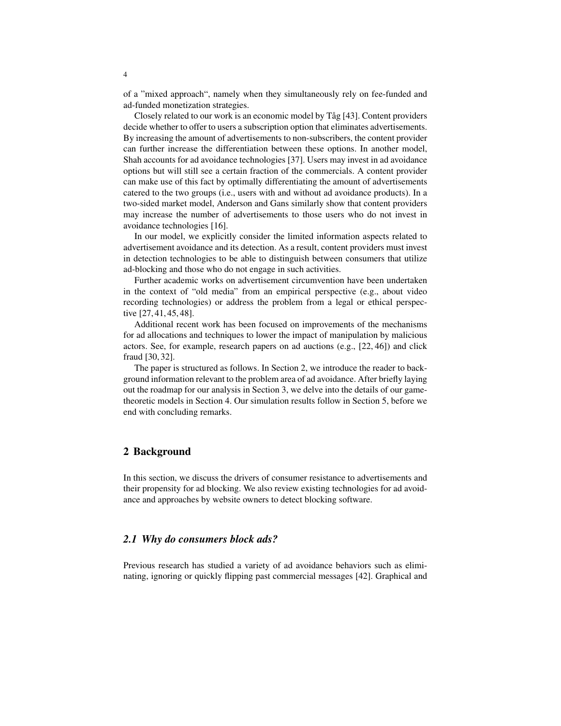of a "mixed approach", namely when they simultaneously rely on fee-funded and ad-funded monetization strategies.

Closely related to our work is an economic model by Tåg [43]. Content providers decide whether to offer to users a subscription option that eliminates advertisements. By increasing the amount of advertisements to non-subscribers, the content provider can further increase the differentiation between these options. In another model, Shah accounts for ad avoidance technologies [37]. Users may invest in ad avoidance options but will still see a certain fraction of the commercials. A content provider can make use of this fact by optimally differentiating the amount of advertisements catered to the two groups (i.e., users with and without ad avoidance products). In a two-sided market model, Anderson and Gans similarly show that content providers may increase the number of advertisements to those users who do not invest in avoidance technologies [16].

In our model, we explicitly consider the limited information aspects related to advertisement avoidance and its detection. As a result, content providers must invest in detection technologies to be able to distinguish between consumers that utilize ad-blocking and those who do not engage in such activities.

Further academic works on advertisement circumvention have been undertaken in the context of "old media" from an empirical perspective (e.g., about video recording technologies) or address the problem from a legal or ethical perspective [27, 41, 45, 48].

Additional recent work has been focused on improvements of the mechanisms for ad allocations and techniques to lower the impact of manipulation by malicious actors. See, for example, research papers on ad auctions (e.g., [22, 46]) and click fraud [30, 32].

The paper is structured as follows. In Section 2, we introduce the reader to background information relevant to the problem area of ad avoidance. After briefly laying out the roadmap for our analysis in Section 3, we delve into the details of our gametheoretic models in Section 4. Our simulation results follow in Section 5, before we end with concluding remarks.

# 2 Background

In this section, we discuss the drivers of consumer resistance to advertisements and their propensity for ad blocking. We also review existing technologies for ad avoidance and approaches by website owners to detect blocking software.

# *2.1 Why do consumers block ads?*

Previous research has studied a variety of ad avoidance behaviors such as eliminating, ignoring or quickly flipping past commercial messages [42]. Graphical and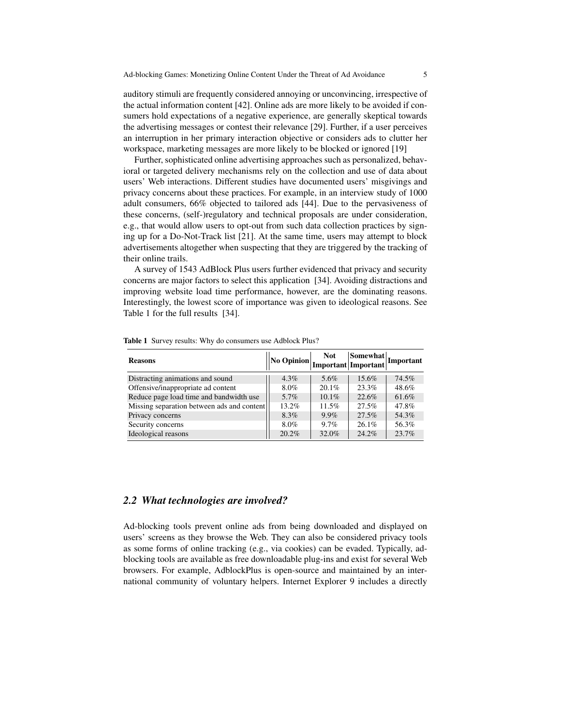auditory stimuli are frequently considered annoying or unconvincing, irrespective of the actual information content [42]. Online ads are more likely to be avoided if consumers hold expectations of a negative experience, are generally skeptical towards the advertising messages or contest their relevance [29]. Further, if a user perceives an interruption in her primary interaction objective or considers ads to clutter her workspace, marketing messages are more likely to be blocked or ignored [19]

Further, sophisticated online advertising approaches such as personalized, behavioral or targeted delivery mechanisms rely on the collection and use of data about users' Web interactions. Different studies have documented users' misgivings and privacy concerns about these practices. For example, in an interview study of 1000 adult consumers, 66% objected to tailored ads [44]. Due to the pervasiveness of these concerns, (self-)regulatory and technical proposals are under consideration, e.g., that would allow users to opt-out from such data collection practices by signing up for a Do-Not-Track list [21]. At the same time, users may attempt to block advertisements altogether when suspecting that they are triggered by the tracking of their online trails.

A survey of 1543 AdBlock Plus users further evidenced that privacy and security concerns are major factors to select this application [34]. Avoiding distractions and improving website load time performance, however, are the dominating reasons. Interestingly, the lowest score of importance was given to ideological reasons. See Table 1 for the full results [34].

| <b>Reasons</b>                             | No Opinion | <b>Not</b> | $ \text{Somewhat} $ Important<br>Important Important |       |
|--------------------------------------------|------------|------------|------------------------------------------------------|-------|
| Distracting animations and sound           | $4.3\%$    | 5.6%       | $15.6\%$                                             | 74.5% |
| Offensive/inappropriate ad content         | 8.0%       | $20.1\%$   | 23.3%                                                | 48.6% |
| Reduce page load time and bandwidth use    | 5.7%       | $10.1\%$   | 22.6%                                                | 61.6% |
| Missing separation between ads and content | $13.2\%$   | 11.5%      | 27.5%                                                | 47.8% |
| Privacy concerns                           | 8.3%       | $9.9\%$    | 27.5%                                                | 54.3% |
| Security concerns                          | 8.0%       | $9.7\%$    | $26.1\%$                                             | 56.3% |
| Ideological reasons                        | 20.2%      | 32.0%      | 24.2%                                                | 23.7% |

Table 1 Survey results: Why do consumers use Adblock Plus?

## *2.2 What technologies are involved?*

Ad-blocking tools prevent online ads from being downloaded and displayed on users' screens as they browse the Web. They can also be considered privacy tools as some forms of online tracking (e.g., via cookies) can be evaded. Typically, adblocking tools are available as free downloadable plug-ins and exist for several Web browsers. For example, AdblockPlus is open-source and maintained by an international community of voluntary helpers. Internet Explorer 9 includes a directly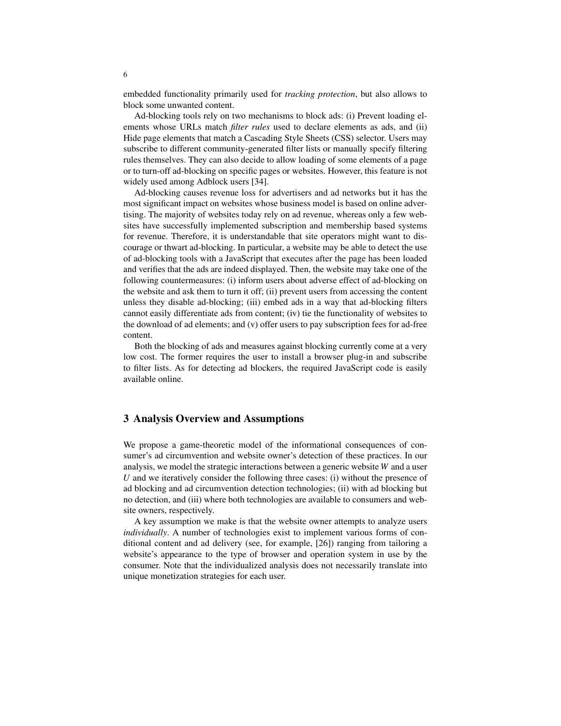embedded functionality primarily used for *tracking protection*, but also allows to block some unwanted content.

Ad-blocking tools rely on two mechanisms to block ads: (i) Prevent loading elements whose URLs match *filter rules* used to declare elements as ads, and (ii) Hide page elements that match a Cascading Style Sheets (CSS) selector. Users may subscribe to different community-generated filter lists or manually specify filtering rules themselves. They can also decide to allow loading of some elements of a page or to turn-off ad-blocking on specific pages or websites. However, this feature is not widely used among Adblock users [34].

Ad-blocking causes revenue loss for advertisers and ad networks but it has the most significant impact on websites whose business model is based on online advertising. The majority of websites today rely on ad revenue, whereas only a few websites have successfully implemented subscription and membership based systems for revenue. Therefore, it is understandable that site operators might want to discourage or thwart ad-blocking. In particular, a website may be able to detect the use of ad-blocking tools with a JavaScript that executes after the page has been loaded and verifies that the ads are indeed displayed. Then, the website may take one of the following countermeasures: (i) inform users about adverse effect of ad-blocking on the website and ask them to turn it off; (ii) prevent users from accessing the content unless they disable ad-blocking; (iii) embed ads in a way that ad-blocking filters cannot easily differentiate ads from content; (iv) tie the functionality of websites to the download of ad elements; and (v) offer users to pay subscription fees for ad-free content.

Both the blocking of ads and measures against blocking currently come at a very low cost. The former requires the user to install a browser plug-in and subscribe to filter lists. As for detecting ad blockers, the required JavaScript code is easily available online.

# 3 Analysis Overview and Assumptions

We propose a game-theoretic model of the informational consequences of consumer's ad circumvention and website owner's detection of these practices. In our analysis, we model the strategic interactions between a generic website *W* and a user *U* and we iteratively consider the following three cases: (i) without the presence of ad blocking and ad circumvention detection technologies; (ii) with ad blocking but no detection, and (iii) where both technologies are available to consumers and website owners, respectively.

A key assumption we make is that the website owner attempts to analyze users *individually*. A number of technologies exist to implement various forms of conditional content and ad delivery (see, for example, [26]) ranging from tailoring a website's appearance to the type of browser and operation system in use by the consumer. Note that the individualized analysis does not necessarily translate into unique monetization strategies for each user.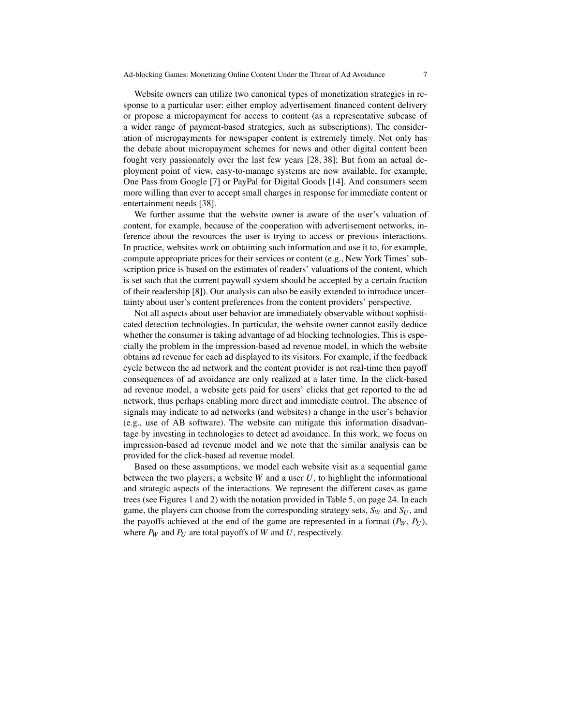Website owners can utilize two canonical types of monetization strategies in response to a particular user: either employ advertisement financed content delivery or propose a micropayment for access to content (as a representative subcase of a wider range of payment-based strategies, such as subscriptions). The consideration of micropayments for newspaper content is extremely timely. Not only has the debate about micropayment schemes for news and other digital content been fought very passionately over the last few years [28, 38]; But from an actual deployment point of view, easy-to-manage systems are now available, for example, One Pass from Google [7] or PayPal for Digital Goods [14]. And consumers seem more willing than ever to accept small charges in response for immediate content or entertainment needs [38].

We further assume that the website owner is aware of the user's valuation of content, for example, because of the cooperation with advertisement networks, inference about the resources the user is trying to access or previous interactions. In practice, websites work on obtaining such information and use it to, for example, compute appropriate prices for their services or content (e.g., New York Times' subscription price is based on the estimates of readers' valuations of the content, which is set such that the current paywall system should be accepted by a certain fraction of their readership [8]). Our analysis can also be easily extended to introduce uncertainty about user's content preferences from the content providers' perspective.

Not all aspects about user behavior are immediately observable without sophisticated detection technologies. In particular, the website owner cannot easily deduce whether the consumer is taking advantage of ad blocking technologies. This is especially the problem in the impression-based ad revenue model, in which the website obtains ad revenue for each ad displayed to its visitors. For example, if the feedback cycle between the ad network and the content provider is not real-time then payoff consequences of ad avoidance are only realized at a later time. In the click-based ad revenue model, a website gets paid for users' clicks that get reported to the ad network, thus perhaps enabling more direct and immediate control. The absence of signals may indicate to ad networks (and websites) a change in the user's behavior (e.g., use of AB software). The website can mitigate this information disadvantage by investing in technologies to detect ad avoidance. In this work, we focus on impression-based ad revenue model and we note that the similar analysis can be provided for the click-based ad revenue model.

Based on these assumptions, we model each website visit as a sequential game between the two players, a website *W* and a user *U*, to highlight the informational and strategic aspects of the interactions. We represent the different cases as game trees (see Figures 1 and 2) with the notation provided in Table 5, on page 24. In each game, the players can choose from the corresponding strategy sets, *S<sup>W</sup>* and *S<sup>U</sup>* , and the payoffs achieved at the end of the game are represented in a format  $(P_W, P_U)$ , where  $P_W$  and  $P_U$  are total payoffs of *W* and *U*, respectively.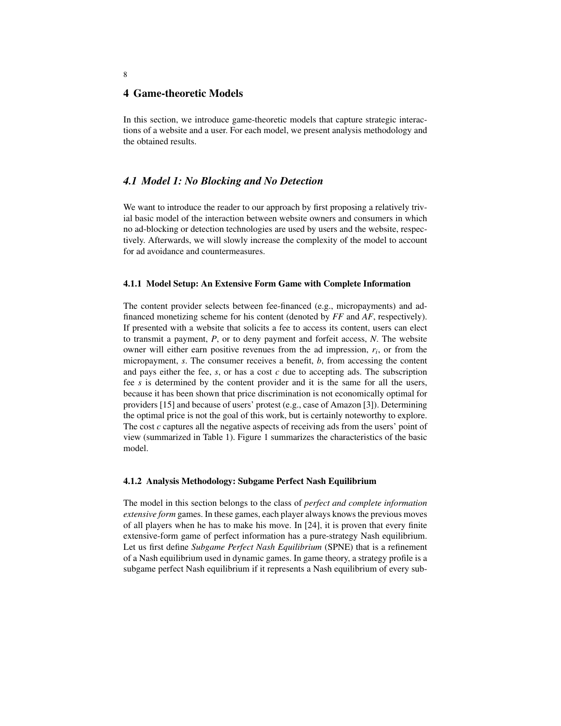### 4 Game-theoretic Models

In this section, we introduce game-theoretic models that capture strategic interactions of a website and a user. For each model, we present analysis methodology and the obtained results.

# *4.1 Model 1: No Blocking and No Detection*

We want to introduce the reader to our approach by first proposing a relatively trivial basic model of the interaction between website owners and consumers in which no ad-blocking or detection technologies are used by users and the website, respectively. Afterwards, we will slowly increase the complexity of the model to account for ad avoidance and countermeasures.

#### 4.1.1 Model Setup: An Extensive Form Game with Complete Information

The content provider selects between fee-financed (e.g., micropayments) and adfinanced monetizing scheme for his content (denoted by *FF* and *AF*, respectively). If presented with a website that solicits a fee to access its content, users can elect to transmit a payment, *P*, or to deny payment and forfeit access, *N*. The website owner will either earn positive revenues from the ad impression, *r<sup>i</sup>* , or from the micropayment, *s*. The consumer receives a benefit, *b*, from accessing the content and pays either the fee, *s*, or has a cost *c* due to accepting ads. The subscription fee *s* is determined by the content provider and it is the same for all the users, because it has been shown that price discrimination is not economically optimal for providers [15] and because of users' protest (e.g., case of Amazon [3]). Determining the optimal price is not the goal of this work, but is certainly noteworthy to explore. The cost *c* captures all the negative aspects of receiving ads from the users' point of view (summarized in Table 1). Figure 1 summarizes the characteristics of the basic model.

#### 4.1.2 Analysis Methodology: Subgame Perfect Nash Equilibrium

The model in this section belongs to the class of *perfect and complete information extensive form* games. In these games, each player always knows the previous moves of all players when he has to make his move. In [24], it is proven that every finite extensive-form game of perfect information has a pure-strategy Nash equilibrium. Let us first define *Subgame Perfect Nash Equilibrium* (SPNE) that is a refinement of a Nash equilibrium used in dynamic games. In game theory, a strategy profile is a subgame perfect Nash equilibrium if it represents a Nash equilibrium of every sub-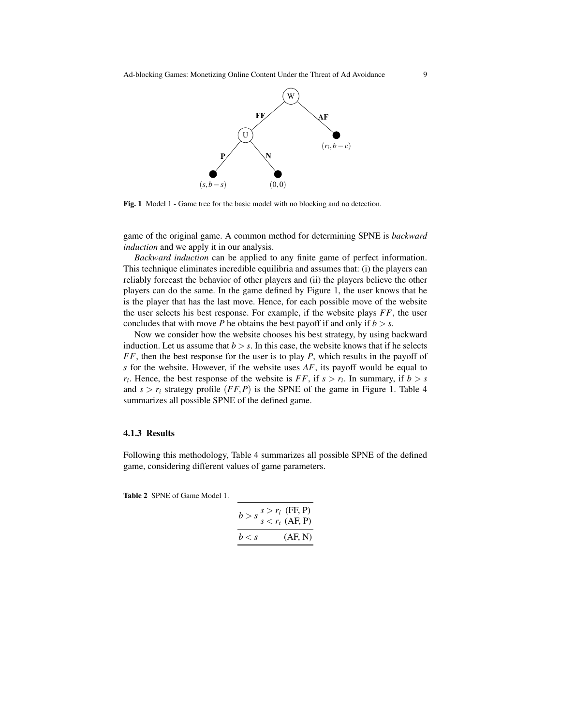

Fig. 1 Model 1 - Game tree for the basic model with no blocking and no detection.

game of the original game. A common method for determining SPNE is *backward induction* and we apply it in our analysis.

*Backward induction* can be applied to any finite game of perfect information. This technique eliminates incredible equilibria and assumes that: (i) the players can reliably forecast the behavior of other players and (ii) the players believe the other players can do the same. In the game defined by Figure 1, the user knows that he is the player that has the last move. Hence, for each possible move of the website the user selects his best response. For example, if the website plays *FF*, the user concludes that with move *P* he obtains the best payoff if and only if  $b > s$ .

Now we consider how the website chooses his best strategy, by using backward induction. Let us assume that  $b > s$ . In this case, the website knows that if he selects *FF*, then the best response for the user is to play *P*, which results in the payoff of *s* for the website. However, if the website uses *AF*, its payoff would be equal to  $r_i$ . Hence, the best response of the website is *FF*, if  $s > r_i$ . In summary, if  $b > s$ and  $s > r_i$  strategy profile (*FF,P*) is the SPNE of the game in Figure 1. Table 4 summarizes all possible SPNE of the defined game.

#### 4.1.3 Results

Following this methodology, Table 4 summarizes all possible SPNE of the defined game, considering different values of game parameters.

Table 2 SPNE of Game Model 1.

| $b > s \frac{s > r_i \text{ (FF, P)}}{s < r_i \text{ (AF, P)}}$ |         |
|-----------------------------------------------------------------|---------|
| b < s                                                           | (AF, N) |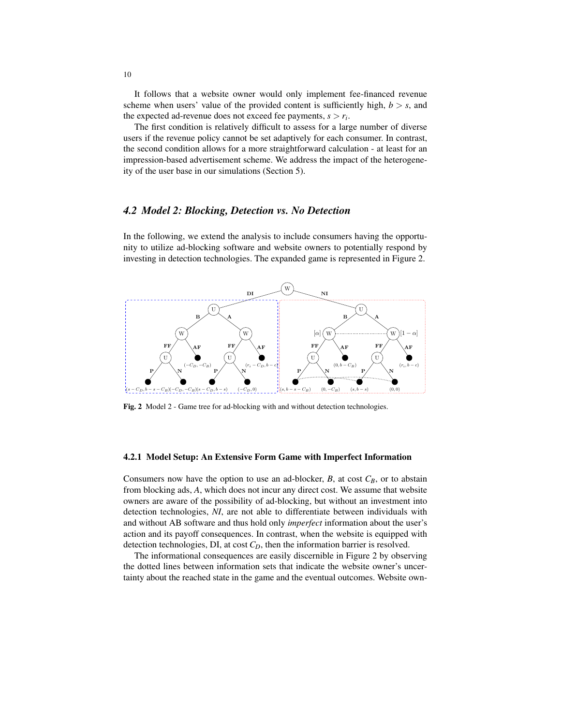It follows that a website owner would only implement fee-financed revenue scheme when users' value of the provided content is sufficiently high,  $b > s$ , and the expected ad-revenue does not exceed fee payments, *s* > *r<sup>i</sup>* .

The first condition is relatively difficult to assess for a large number of diverse users if the revenue policy cannot be set adaptively for each consumer. In contrast, the second condition allows for a more straightforward calculation - at least for an impression-based advertisement scheme. We address the impact of the heterogeneity of the user base in our simulations (Section 5).

### *4.2 Model 2: Blocking, Detection vs. No Detection*

In the following, we extend the analysis to include consumers having the opportunity to utilize ad-blocking software and website owners to potentially respond by investing in detection technologies. The expanded game is represented in Figure 2.



Fig. 2 Model 2 - Game tree for ad-blocking with and without detection technologies.

#### 4.2.1 Model Setup: An Extensive Form Game with Imperfect Information

owners are aware of the possibility of ad-blocking, but without an investment into Consumers now have the option to use an ad-blocker,  $B$ , at cost  $C_B$ , or to abstain from blocking ads, *A*, which does not incur any direct cost. We assume that website detection technologies, *NI*, are not able to differentiate between individuals with and without AB software and thus hold only *imperfect* information about the user's action and its payoff consequences. In contrast, when the website is equipped with detection technologies, DI, at cost *CD*, then the information barrier is resolved.

The informational consequences are easily discernible in Figure 2 by observing the dotted lines between information sets that indicate the website owner's uncertainty about the reached state in the game and the eventual outcomes. Website own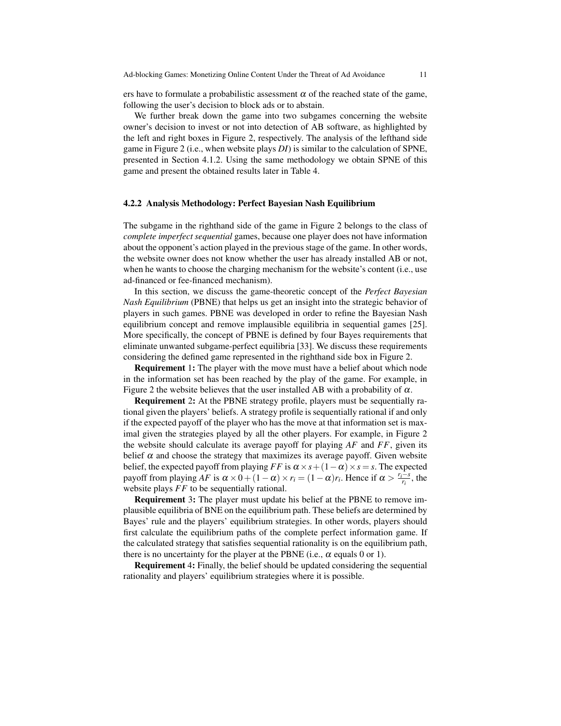ers have to formulate a probabilistic assessment  $\alpha$  of the reached state of the game, following the user's decision to block ads or to abstain.

We further break down the game into two subgames concerning the website owner's decision to invest or not into detection of AB software, as highlighted by the left and right boxes in Figure 2, respectively. The analysis of the lefthand side game in Figure 2 (i.e., when website plays *DI*) is similar to the calculation of SPNE, presented in Section 4.1.2. Using the same methodology we obtain SPNE of this game and present the obtained results later in Table 4.

#### 4.2.2 Analysis Methodology: Perfect Bayesian Nash Equilibrium

The subgame in the righthand side of the game in Figure 2 belongs to the class of *complete imperfect sequential* games, because one player does not have information about the opponent's action played in the previous stage of the game. In other words, the website owner does not know whether the user has already installed AB or not, when he wants to choose the charging mechanism for the website's content (i.e., use ad-financed or fee-financed mechanism).

In this section, we discuss the game-theoretic concept of the *Perfect Bayesian Nash Equilibrium* (PBNE) that helps us get an insight into the strategic behavior of players in such games. PBNE was developed in order to refine the Bayesian Nash equilibrium concept and remove implausible equilibria in sequential games [25]. More specifically, the concept of PBNE is defined by four Bayes requirements that eliminate unwanted subgame-perfect equilibria [33]. We discuss these requirements considering the defined game represented in the righthand side box in Figure 2.

**Requirement 1:** The player with the move must have a belief about which node in the information set has been reached by the play of the game. For example, in Figure 2 the website believes that the user installed AB with a probability of  $\alpha$ .

**Requirement 2:** At the PBNE strategy profile, players must be sequentially rational given the players' beliefs. A strategy profile is sequentially rational if and only if the expected payoff of the player who has the move at that information set is maximal given the strategies played by all the other players. For example, in Figure 2 the website should calculate its average payoff for playing *AF* and *FF*, given its belief  $\alpha$  and choose the strategy that maximizes its average payoff. Given website belief, the expected payoff from playing *FF* is  $\alpha \times s + (1 - \alpha) \times s = s$ . The expected payoff from playing *AF* is  $\alpha \times 0 + (1 - \alpha) \times r_i = (1 - \alpha)r_i$ . Hence if  $\alpha > \frac{r_i - s}{r_i}$ , the website plays *FF* to be sequentially rational.

Requirement 3: The player must update his belief at the PBNE to remove implausible equilibria of BNE on the equilibrium path. These beliefs are determined by Bayes' rule and the players' equilibrium strategies. In other words, players should first calculate the equilibrium paths of the complete perfect information game. If the calculated strategy that satisfies sequential rationality is on the equilibrium path, there is no uncertainty for the player at the PBNE (i.e.,  $\alpha$  equals 0 or 1).

Requirement 4: Finally, the belief should be updated considering the sequential rationality and players' equilibrium strategies where it is possible.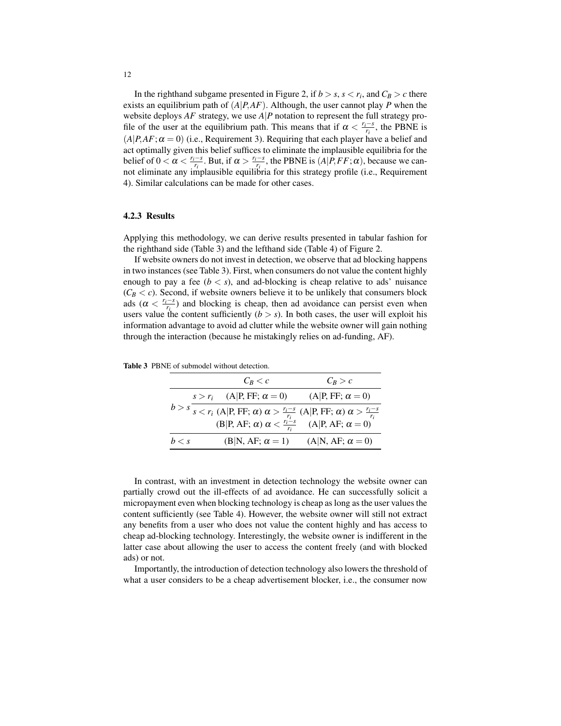In the righthand subgame presented in Figure 2, if  $b > s$ ,  $s < r_i$ , and  $C_B > c$  there exists an equilibrium path of (*A*|*P*,*AF*). Although, the user cannot play *P* when the website deploys  $AF$  strategy, we use  $A|P$  notation to represent the full strategy profile of the user at the equilibrium path. This means that if  $\alpha < \frac{r_i - s}{r_i}$ , the PBNE is  $(A|P, AF; \alpha = 0)$  (i.e., Requirement 3). Requiring that each player have a belief and act optimally given this belief suffices to eliminate the implausible equilibria for the belief of  $0 < \alpha < \frac{r_i - s}{r_i}$ . But, if  $\alpha > \frac{r_i - s}{r_i}$ , the PBNE is  $(A|P, FF; \alpha)$ , because we cannot eliminate any implausible equilibria for this strategy profile (i.e., Requirement 4). Similar calculations can be made for other cases.

#### 4.2.3 Results

Applying this methodology, we can derive results presented in tabular fashion for the righthand side (Table 3) and the lefthand side (Table 4) of Figure 2.

If website owners do not invest in detection, we observe that ad blocking happens in two instances (see Table 3). First, when consumers do not value the content highly enough to pay a fee  $(b < s)$ , and ad-blocking is cheap relative to ads' nuisance  $(C_B < c)$ . Second, if website owners believe it to be unlikely that consumers block ads ( $\alpha < \frac{r_i - s}{r_i}$ ) and blocking is cheap, then ad avoidance can persist even when users value the content sufficiently  $(b > s)$ . In both cases, the user will exploit his information advantage to avoid ad clutter while the website owner will gain nothing through the interaction (because he mistakingly relies on ad-funding, AF).

| $C_R < c$ |                                                                                                                                                                                                                                | $C_R > c$               |  |
|-----------|--------------------------------------------------------------------------------------------------------------------------------------------------------------------------------------------------------------------------------|-------------------------|--|
|           | $s > r_i$ (A P, FF; $\alpha = 0$ )                                                                                                                                                                                             | $(A P, FF; \alpha = 0)$ |  |
|           | $b > s \frac{r_i - s}{s}$<br>$s < r_i$ (A P, FF; $\alpha$ ) $\alpha > \frac{r_i - s}{r_i}$ (A P, FF; $\alpha$ ) $\alpha > \frac{r_i - s}{r_i}$<br>(B P, AF; $\alpha$ ) $\alpha < \frac{r_i - s}{r_i}$ (A P, AF; $\alpha = 0$ ) |                         |  |
|           |                                                                                                                                                                                                                                |                         |  |
| h < s     | $(B N, AF; \alpha = 1)$                                                                                                                                                                                                        | $(A N, AF; \alpha = 0)$ |  |

Table 3 PBNE of submodel without detection.

In contrast, with an investment in detection technology the website owner can partially crowd out the ill-effects of ad avoidance. He can successfully solicit a micropayment even when blocking technology is cheap as long as the user values the content sufficiently (see Table 4). However, the website owner will still not extract any benefits from a user who does not value the content highly and has access to cheap ad-blocking technology. Interestingly, the website owner is indifferent in the latter case about allowing the user to access the content freely (and with blocked ads) or not.

Importantly, the introduction of detection technology also lowers the threshold of what a user considers to be a cheap advertisement blocker, i.e., the consumer now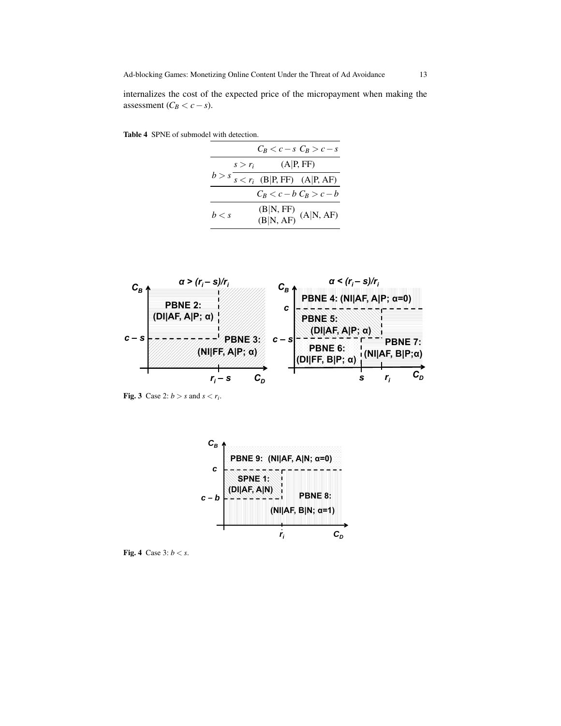Table 4 SPNE of submodel with detection.

|       |                        |                                       | $C_R < c-s$ $C_R > c-s$                                                                               |
|-------|------------------------|---------------------------------------|-------------------------------------------------------------------------------------------------------|
|       | (A P, FF)<br>$s > r_i$ |                                       |                                                                                                       |
|       |                        | $b > s$ $s < r_i$ (B P, FF) (A P, AF) |                                                                                                       |
|       |                        |                                       | $C_B < c - b$ $C_B > c - b$                                                                           |
| h < s |                        |                                       | $\frac{(\text{B} \text{N},\text{FF})}{(\text{B} \text{N},\text{AF})}$ $(\text{A} \text{N},\text{AF})$ |



Fig. 3 Case 2:  $b > s$  and  $s < r_i$ .



Fig. 4 Case 3: *b* < *s*.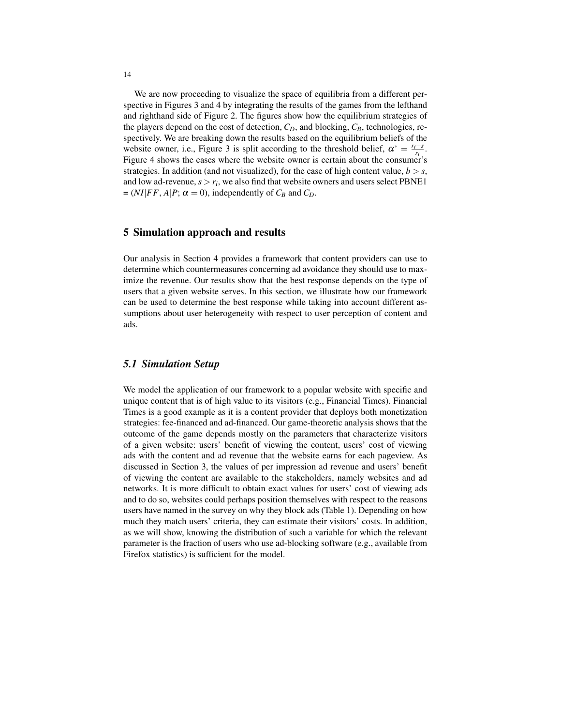We are now proceeding to visualize the space of equilibria from a different perspective in Figures 3 and 4 by integrating the results of the games from the lefthand and righthand side of Figure 2. The figures show how the equilibrium strategies of the players depend on the cost of detection, *CD*, and blocking, *CB*, technologies, respectively. We are breaking down the results based on the equilibrium beliefs of the website owner, i.e., Figure 3 is split according to the threshold belief,  $\alpha^* = \frac{r_i - s}{r_i}$ . Figure 4 shows the cases where the website owner is certain about the consumer's strategies. In addition (and not visualized), for the case of high content value,  $b > s$ , and low ad-revenue,  $s > r_i$ , we also find that website owners and users select PBNE1  $= (NI|FF, A|P; \alpha = 0)$ , independently of  $C_B$  and  $C_D$ .

## 5 Simulation approach and results

Our analysis in Section 4 provides a framework that content providers can use to determine which countermeasures concerning ad avoidance they should use to maximize the revenue. Our results show that the best response depends on the type of users that a given website serves. In this section, we illustrate how our framework can be used to determine the best response while taking into account different assumptions about user heterogeneity with respect to user perception of content and ads.

# *5.1 Simulation Setup*

We model the application of our framework to a popular website with specific and unique content that is of high value to its visitors (e.g., Financial Times). Financial Times is a good example as it is a content provider that deploys both monetization strategies: fee-financed and ad-financed. Our game-theoretic analysis shows that the outcome of the game depends mostly on the parameters that characterize visitors of a given website: users' benefit of viewing the content, users' cost of viewing ads with the content and ad revenue that the website earns for each pageview. As discussed in Section 3, the values of per impression ad revenue and users' benefit of viewing the content are available to the stakeholders, namely websites and ad networks. It is more difficult to obtain exact values for users' cost of viewing ads and to do so, websites could perhaps position themselves with respect to the reasons users have named in the survey on why they block ads (Table 1). Depending on how much they match users' criteria, they can estimate their visitors' costs. In addition, as we will show, knowing the distribution of such a variable for which the relevant parameter is the fraction of users who use ad-blocking software (e.g., available from Firefox statistics) is sufficient for the model.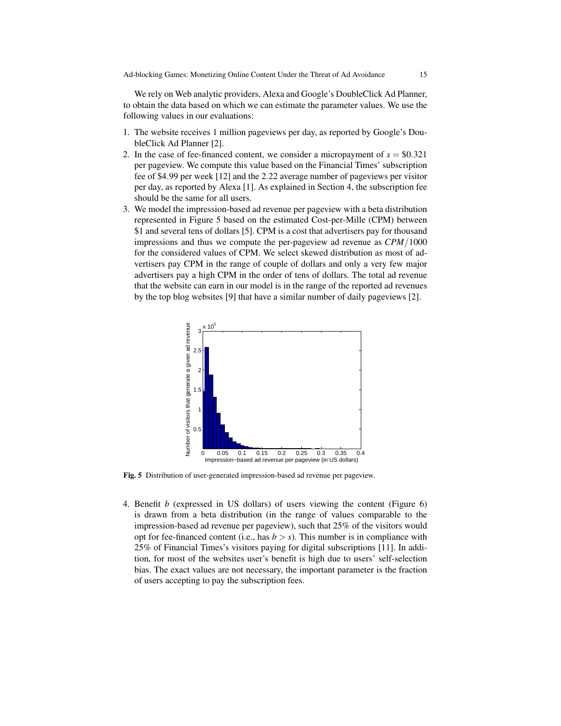We rely on Web analytic providers, Alexa and Google's DoubleClick Ad Planner, to obtain the data based on which we can estimate the parameter values. We use the following values in our evaluations:

- 1. The website receives 1 million pageviews per day, as reported by Google's DoubleClick Ad Planner [2].
- 2. In the case of fee-financed content, we consider a micropayment of  $s = $0.321$ per pageview. We compute this value based on the Financial Times' subscription fee of \$4.99 per week [12] and the 2.22 average number of pageviews per visitor per day, as reported by Alexa [1]. As explained in Section 4, the subscription fee should be the same for all users.
- 3. We model the impression-based ad revenue per pageview with a beta distribution represented in Figure 5 based on the estimated Cost-per-Mille (CPM) between \$1 and several tens of dollars [5]. CPM is a cost that advertisers pay for thousand impressions and thus we compute the per-pageview ad revenue as *CPM*/1000 for the considered values of CPM. We select skewed distribution as most of advertisers pay CPM in the range of couple of dollars and only a very few major advertisers pay a high CPM in the order of tens of dollars. The total ad revenue that the website can earn in our model is in the range of the reported ad revenues by the top blog websites [9] that have a similar number of daily pageviews [2].



Fig. 5 Distribution of user-generated impression-based ad revenue per pageview.

4. Benefit *b* (expressed in US dollars) of users viewing the content (Figure 6) is drawn from a beta distribution (in the range of values comparable to the impression-based ad revenue per pageview), such that 25% of the visitors would opt for fee-financed content (i.e., has  $b > s$ ). This number is in compliance with 25% of Financial Times's visitors paying for digital subscriptions [11]. In addition, for most of the websites user's benefit is high due to users' self-selection bias. The exact values are not necessary, the important parameter is the fraction of users accepting to pay the subscription fees.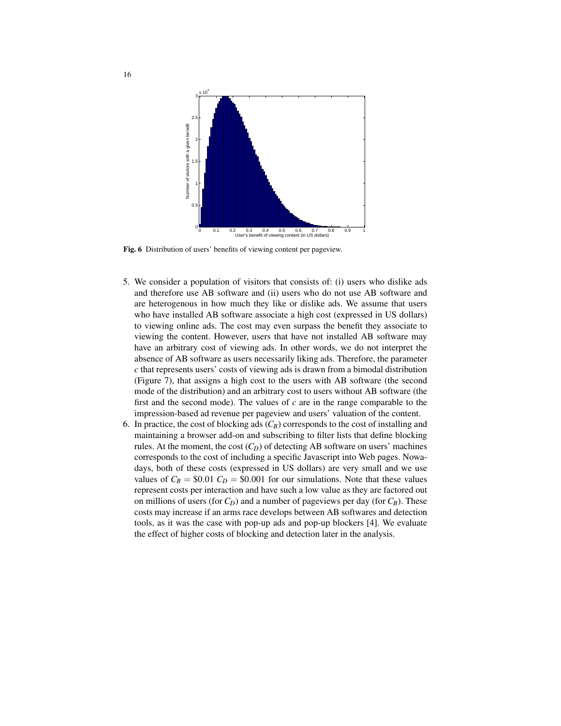

Fig. 6 Distribution of users' benefits of viewing content per pageview.

- 5. We consider a population of visitors that consists of: (i) users who dislike ads and therefore use AB software and (ii) users who do not use AB software and are heterogenous in how much they like or dislike ads. We assume that users who have installed AB software associate a high cost (expressed in US dollars) to viewing online ads. The cost may even surpass the benefit they associate to viewing the content. However, users that have not installed AB software may have an arbitrary cost of viewing ads. In other words, we do not interpret the absence of AB software as users necessarily liking ads. Therefore, the parameter *c* that represents users' costs of viewing ads is drawn from a bimodal distribution (Figure 7), that assigns a high cost to the users with AB software (the second mode of the distribution) and an arbitrary cost to users without AB software (the first and the second mode). The values of *c* are in the range comparable to the impression-based ad revenue per pageview and users' valuation of the content.
- 6. In practice, the cost of blocking ads  $(C_B)$  corresponds to the cost of installing and maintaining a browser add-on and subscribing to filter lists that define blocking rules. At the moment, the cost  $(C_D)$  of detecting AB software on users' machines corresponds to the cost of including a specific Javascript into Web pages. Nowadays, both of these costs (expressed in US dollars) are very small and we use values of  $C_B = $0.01 C_D = $0.001$  for our simulations. Note that these values represent costs per interaction and have such a low value as they are factored out on millions of users (for  $C_D$ ) and a number of pageviews per day (for  $C_B$ ). These costs may increase if an arms race develops between AB softwares and detection tools, as it was the case with pop-up ads and pop-up blockers [4]. We evaluate the effect of higher costs of blocking and detection later in the analysis.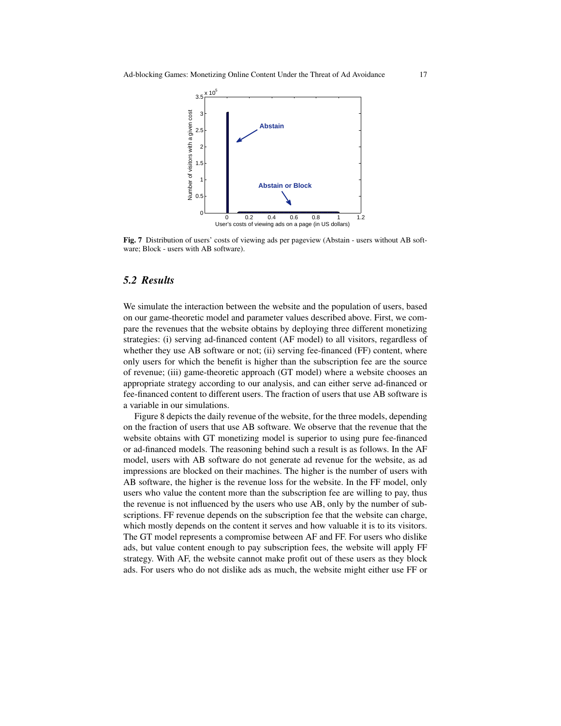

Fig. 7 Distribution of users' costs of viewing ads per pageview (Abstain - users without AB software; Block - users with AB software).

## *5.2 Results*

We simulate the interaction between the website and the population of users, based on our game-theoretic model and parameter values described above. First, we compare the revenues that the website obtains by deploying three different monetizing strategies: (i) serving ad-financed content (AF model) to all visitors, regardless of whether they use AB software or not; (ii) serving fee-financed (FF) content, where only users for which the benefit is higher than the subscription fee are the source of revenue; (iii) game-theoretic approach (GT model) where a website chooses an appropriate strategy according to our analysis, and can either serve ad-financed or fee-financed content to different users. The fraction of users that use AB software is a variable in our simulations.

Figure 8 depicts the daily revenue of the website, for the three models, depending on the fraction of users that use AB software. We observe that the revenue that the website obtains with GT monetizing model is superior to using pure fee-financed or ad-financed models. The reasoning behind such a result is as follows. In the AF model, users with AB software do not generate ad revenue for the website, as ad impressions are blocked on their machines. The higher is the number of users with AB software, the higher is the revenue loss for the website. In the FF model, only users who value the content more than the subscription fee are willing to pay, thus the revenue is not influenced by the users who use AB, only by the number of subscriptions. FF revenue depends on the subscription fee that the website can charge, which mostly depends on the content it serves and how valuable it is to its visitors. The GT model represents a compromise between AF and FF. For users who dislike ads, but value content enough to pay subscription fees, the website will apply FF strategy. With AF, the website cannot make profit out of these users as they block ads. For users who do not dislike ads as much, the website might either use FF or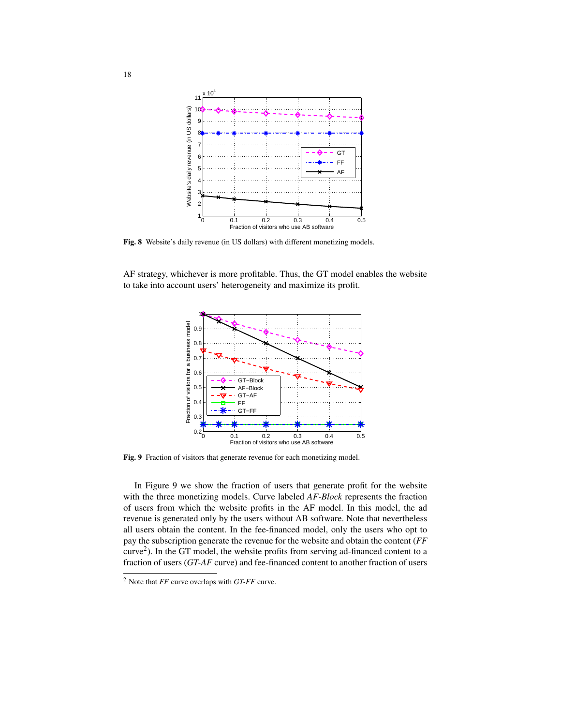

Fig. 8 Website's daily revenue (in US dollars) with different monetizing models.

AF strategy, whichever is more profitable. Thus, the GT model enables the website to take into account users' heterogeneity and maximize its profit.



Fig. 9 Fraction of visitors that generate revenue for each monetizing model.

In Figure 9 we show the fraction of users that generate profit for the website with the three monetizing models. Curve labeled *AF-Block* represents the fraction of users from which the website profits in the AF model. In this model, the ad revenue is generated only by the users without AB software. Note that nevertheless all users obtain the content. In the fee-financed model, only the users who opt to pay the subscription generate the revenue for the website and obtain the content (*FF* curve<sup>2</sup> ). In the GT model, the website profits from serving ad-financed content to a fraction of users (*GT-AF* curve) and fee-financed content to another fraction of users

<sup>2</sup> Note that *FF* curve overlaps with *GT-FF* curve.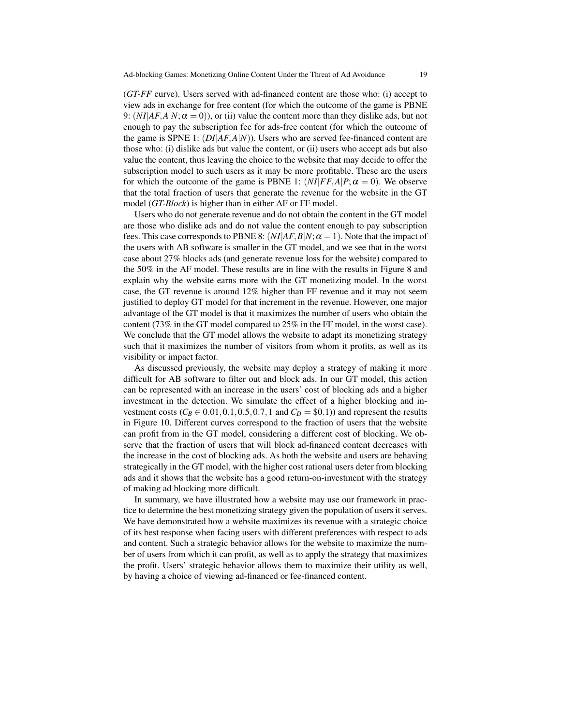(*GT-FF* curve). Users served with ad-financed content are those who: (i) accept to view ads in exchange for free content (for which the outcome of the game is PBNE 9:  $(NI|AF, A|N; \alpha = 0)$ , or (ii) value the content more than they dislike ads, but not enough to pay the subscription fee for ads-free content (for which the outcome of the game is SPNE 1: (*DI*|*AF*,*A*|*N*)). Users who are served fee-financed content are those who: (i) dislike ads but value the content, or (ii) users who accept ads but also value the content, thus leaving the choice to the website that may decide to offer the subscription model to such users as it may be more profitable. These are the users for which the outcome of the game is PBNE 1:  $(NI|FF,A|P;\alpha=0)$ . We observe that the total fraction of users that generate the revenue for the website in the GT model (*GT-Block*) is higher than in either AF or FF model.

Users who do not generate revenue and do not obtain the content in the GT model are those who dislike ads and do not value the content enough to pay subscription fees. This case corresponds to PBNE 8:  $(NI|AF, B|N; \alpha = 1)$ . Note that the impact of the users with AB software is smaller in the GT model, and we see that in the worst case about 27% blocks ads (and generate revenue loss for the website) compared to the 50% in the AF model. These results are in line with the results in Figure 8 and explain why the website earns more with the GT monetizing model. In the worst case, the GT revenue is around 12% higher than FF revenue and it may not seem justified to deploy GT model for that increment in the revenue. However, one major advantage of the GT model is that it maximizes the number of users who obtain the content (73% in the GT model compared to 25% in the FF model, in the worst case). We conclude that the GT model allows the website to adapt its monetizing strategy such that it maximizes the number of visitors from whom it profits, as well as its visibility or impact factor.

As discussed previously, the website may deploy a strategy of making it more difficult for AB software to filter out and block ads. In our GT model, this action can be represented with an increase in the users' cost of blocking ads and a higher investment in the detection. We simulate the effect of a higher blocking and investment costs ( $C_B \in 0.01, 0.1, 0.5, 0.7, 1$  and  $C_D = $0.1$ )) and represent the results in Figure 10. Different curves correspond to the fraction of users that the website can profit from in the GT model, considering a different cost of blocking. We observe that the fraction of users that will block ad-financed content decreases with the increase in the cost of blocking ads. As both the website and users are behaving strategically in the GT model, with the higher cost rational users deter from blocking ads and it shows that the website has a good return-on-investment with the strategy of making ad blocking more difficult.

In summary, we have illustrated how a website may use our framework in practice to determine the best monetizing strategy given the population of users it serves. We have demonstrated how a website maximizes its revenue with a strategic choice of its best response when facing users with different preferences with respect to ads and content. Such a strategic behavior allows for the website to maximize the number of users from which it can profit, as well as to apply the strategy that maximizes the profit. Users' strategic behavior allows them to maximize their utility as well, by having a choice of viewing ad-financed or fee-financed content.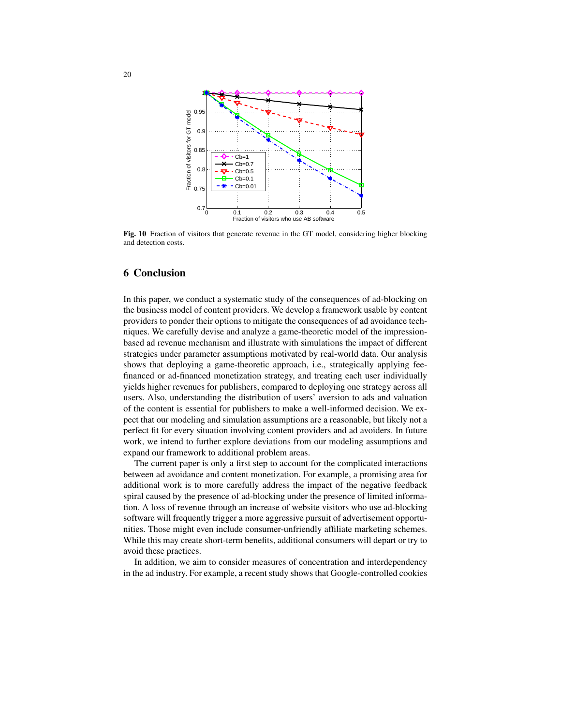

Fig. 10 Fraction of visitors that generate revenue in the GT model, considering higher blocking and detection costs.

# 6 Conclusion

In this paper, we conduct a systematic study of the consequences of ad-blocking on the business model of content providers. We develop a framework usable by content providers to ponder their options to mitigate the consequences of ad avoidance techniques. We carefully devise and analyze a game-theoretic model of the impressionbased ad revenue mechanism and illustrate with simulations the impact of different strategies under parameter assumptions motivated by real-world data. Our analysis shows that deploying a game-theoretic approach, i.e., strategically applying feefinanced or ad-financed monetization strategy, and treating each user individually yields higher revenues for publishers, compared to deploying one strategy across all users. Also, understanding the distribution of users' aversion to ads and valuation of the content is essential for publishers to make a well-informed decision. We expect that our modeling and simulation assumptions are a reasonable, but likely not a perfect fit for every situation involving content providers and ad avoiders. In future work, we intend to further explore deviations from our modeling assumptions and expand our framework to additional problem areas.

The current paper is only a first step to account for the complicated interactions between ad avoidance and content monetization. For example, a promising area for additional work is to more carefully address the impact of the negative feedback spiral caused by the presence of ad-blocking under the presence of limited information. A loss of revenue through an increase of website visitors who use ad-blocking software will frequently trigger a more aggressive pursuit of advertisement opportunities. Those might even include consumer-unfriendly affiliate marketing schemes. While this may create short-term benefits, additional consumers will depart or try to avoid these practices.

In addition, we aim to consider measures of concentration and interdependency in the ad industry. For example, a recent study shows that Google-controlled cookies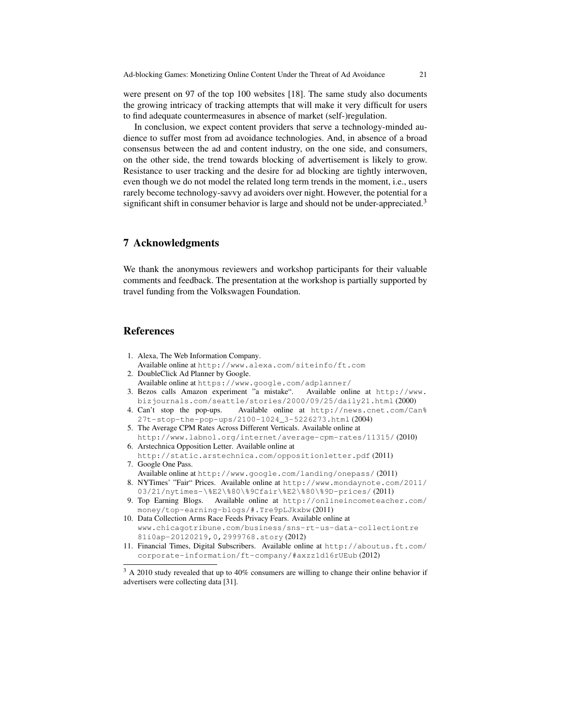were present on 97 of the top 100 websites [18]. The same study also documents the growing intricacy of tracking attempts that will make it very difficult for users to find adequate countermeasures in absence of market (self-)regulation.

In conclusion, we expect content providers that serve a technology-minded audience to suffer most from ad avoidance technologies. And, in absence of a broad consensus between the ad and content industry, on the one side, and consumers, on the other side, the trend towards blocking of advertisement is likely to grow. Resistance to user tracking and the desire for ad blocking are tightly interwoven, even though we do not model the related long term trends in the moment, i.e., users rarely become technology-savvy ad avoiders over night. However, the potential for a significant shift in consumer behavior is large and should not be under-appreciated.<sup>3</sup>

# 7 Acknowledgments

We thank the anonymous reviewers and workshop participants for their valuable comments and feedback. The presentation at the workshop is partially supported by travel funding from the Volkswagen Foundation.

# References

- 1. Alexa, The Web Information Company. Available online at http://www.alexa.com/siteinfo/ft.com
- 2. DoubleClick Ad Planner by Google. Available online at https://www.google.com/adplanner/
- 3. Bezos calls Amazon experiment "a mistake". Available online at http://www. bizjournals.com/seattle/stories/2000/09/25/daily21.html (2000)
- 4. Can't stop the pop-ups. Available online at http://news.cnet.com/Can% 27t-stop-the-pop-ups/2100-1024\_3-5226273.html (2004)
- 5. The Average CPM Rates Across Different Verticals. Available online at http://www.labnol.org/internet/average-cpm-rates/11315/ (2010)
- 6. Arstechnica Opposition Letter. Available online at
- http://static.arstechnica.com/oppositionletter.pdf (2011) 7. Google One Pass.
- Available online at http://www.google.com/landing/onepass/ (2011) 8. NYTimes' "Fair" Prices. Available online at http://www.mondaynote.com/2011/ 03/21/nytimes-\%E2\%80\%9Cfair\%E2\%80\%9D-prices/ (2011)
- 9. Top Earning Blogs. Available online at http://onlineincometeacher.com/ money/top-earning-blogs/#.Tre9pLJkxbw (2011)
- 10. Data Collection Arms Race Feeds Privacy Fears. Available online at www.chicagotribune.com/business/sns-rt-us-data-collectiontre 81i0ap-20120219,0,2999768.story (2012)
- 11. Financial Times, Digital Subscribers. Available online at http://aboutus.ft.com/ corporate-information/ft-company/#axzz1d16rUEub (2012)

<sup>&</sup>lt;sup>3</sup> A 2010 study revealed that up to 40% consumers are willing to change their online behavior if advertisers were collecting data [31].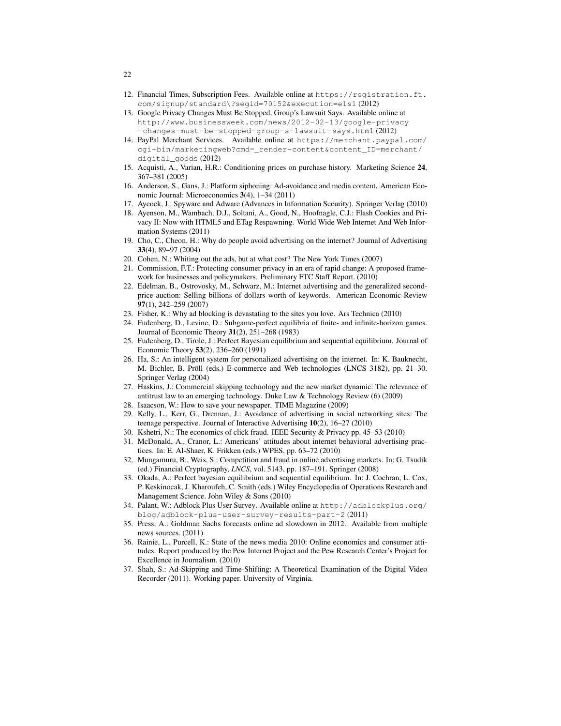- 12. Financial Times, Subscription Fees. Available online at https://registration.ft. com/signup/standard\?segid=70152&execution=e1s1 (2012)
- 13. Google Privacy Changes Must Be Stopped, Group's Lawsuit Says. Available online at http://www.businessweek.com/news/2012-02-13/google-privacy -changes-must-be-stopped-group-s-lawsuit-says.html (2012)
- 14. PayPal Merchant Services. Available online at https://merchant.paypal.com/ cgi-bin/marketingweb?cmd=\_render-content&content\_ID=merchant/ digital\_goods (2012)
- 15. Acquisti, A., Varian, H.R.: Conditioning prices on purchase history. Marketing Science 24, 367–381 (2005)
- 16. Anderson, S., Gans, J.: Platform siphoning: Ad-avoidance and media content. American Economic Journal: Microeconomics 3(4), 1–34 (2011)
- 17. Aycock, J.: Spyware and Adware (Advances in Information Security). Springer Verlag (2010)
- 18. Ayenson, M., Wambach, D.J., Soltani, A., Good, N., Hoofnagle, C.J.: Flash Cookies and Privacy II: Now with HTML5 and ETag Respawning. World Wide Web Internet And Web Information Systems (2011)
- 19. Cho, C., Cheon, H.: Why do people avoid advertising on the internet? Journal of Advertising 33(4), 89–97 (2004)
- 20. Cohen, N.: Whiting out the ads, but at what cost? The New York Times (2007)
- 21. Commission, F.T.: Protecting consumer privacy in an era of rapid change: A proposed framework for businesses and policymakers. Preliminary FTC Staff Report. (2010)
- 22. Edelman, B., Ostrovosky, M., Schwarz, M.: Internet advertising and the generalized secondprice auction: Selling billions of dollars worth of keywords. American Economic Review 97(1), 242–259 (2007)
- 23. Fisher, K.: Why ad blocking is devastating to the sites you love. Ars Technica (2010)
- 24. Fudenberg, D., Levine, D.: Subgame-perfect equilibria of finite- and infinite-horizon games. Journal of Economic Theory 31(2), 251–268 (1983)
- 25. Fudenberg, D., Tirole, J.: Perfect Bayesian equilibrium and sequential equilibrium. Journal of Economic Theory 53(2), 236–260 (1991)
- 26. Ha, S.: An intelligent system for personalized advertising on the internet. In: K. Bauknecht, M. Bichler, B. Pröll (eds.) E-commerce and Web technologies (LNCS 3182), pp. 21-30. Springer Verlag (2004)
- 27. Haskins, J.: Commercial skipping technology and the new market dynamic: The relevance of antitrust law to an emerging technology. Duke Law & Technology Review (6) (2009)
- 28. Isaacson, W.: How to save your newspaper. TIME Magazine (2009)
- 29. Kelly, L., Kerr, G., Drennan, J.: Avoidance of advertising in social networking sites: The teenage perspective. Journal of Interactive Advertising 10(2), 16–27 (2010)
- 30. Kshetri, N.: The economics of click fraud. IEEE Security & Privacy pp. 45–53 (2010)
- 31. McDonald, A., Cranor, L.: Americans' attitudes about internet behavioral advertising practices. In: E. Al-Shaer, K. Frikken (eds.) WPES, pp. 63–72 (2010)
- 32. Mungamuru, B., Weis, S.: Competition and fraud in online advertising markets. In: G. Tsudik (ed.) Financial Cryptography, *LNCS*, vol. 5143, pp. 187–191. Springer (2008)
- 33. Okada, A.: Perfect bayesian equilibrium and sequential equilibrium. In: J. Cochran, L. Cox, P. Keskinocak, J. Kharoufeh, C. Smith (eds.) Wiley Encyclopedia of Operations Research and Management Science. John Wiley & Sons (2010)
- 34. Palant, W.: Adblock Plus User Survey. Available online at http://adblockplus.org/ blog/adblock-plus-user-survey-results-part-2 (2011)
- 35. Press, A.: Goldman Sachs forecasts online ad slowdown in 2012. Available from multiple news sources. (2011)
- 36. Rainie, L., Purcell, K.: State of the news media 2010: Online economics and consumer attitudes. Report produced by the Pew Internet Project and the Pew Research Center's Project for Excellence in Journalism. (2010)
- 37. Shah, S.: Ad-Skipping and Time-Shifting: A Theoretical Examination of the Digital Video Recorder (2011). Working paper. University of Virginia.

22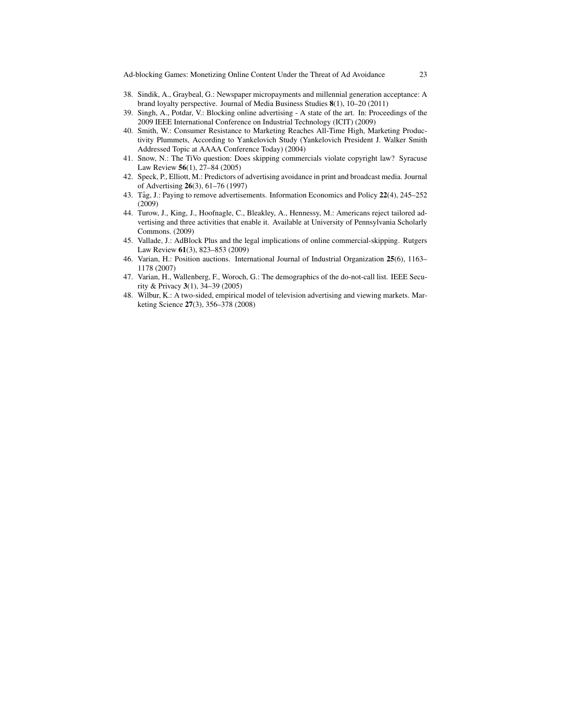- 38. Sindik, A., Graybeal, G.: Newspaper micropayments and millennial generation acceptance: A brand loyalty perspective. Journal of Media Business Studies 8(1), 10–20 (2011)
- 39. Singh, A., Potdar, V.: Blocking online advertising A state of the art. In: Proceedings of the 2009 IEEE International Conference on Industrial Technology (ICIT) (2009)
- 40. Smith, W.: Consumer Resistance to Marketing Reaches All-Time High, Marketing Productivity Plummets, According to Yankelovich Study (Yankelovich President J. Walker Smith Addressed Topic at AAAA Conference Today) (2004)
- 41. Snow, N.: The TiVo question: Does skipping commercials violate copyright law? Syracuse Law Review 56(1), 27–84 (2005)
- 42. Speck, P., Elliott, M.: Predictors of advertising avoidance in print and broadcast media. Journal of Advertising 26(3), 61–76 (1997)
- 43. Tåg, J.: Paying to remove advertisements. Information Economics and Policy 22(4), 245–252 (2009)
- 44. Turow, J., King, J., Hoofnagle, C., Bleakley, A., Hennessy, M.: Americans reject tailored advertising and three activities that enable it. Available at University of Pennsylvania Scholarly Commons. (2009)
- 45. Vallade, J.: AdBlock Plus and the legal implications of online commercial-skipping. Rutgers Law Review 61(3), 823–853 (2009)
- 46. Varian, H.: Position auctions. International Journal of Industrial Organization 25(6), 1163– 1178 (2007)
- 47. Varian, H., Wallenberg, F., Woroch, G.: The demographics of the do-not-call list. IEEE Security & Privacy 3(1), 34–39 (2005)
- 48. Wilbur, K.: A two-sided, empirical model of television advertising and viewing markets. Marketing Science 27(3), 356–378 (2008)